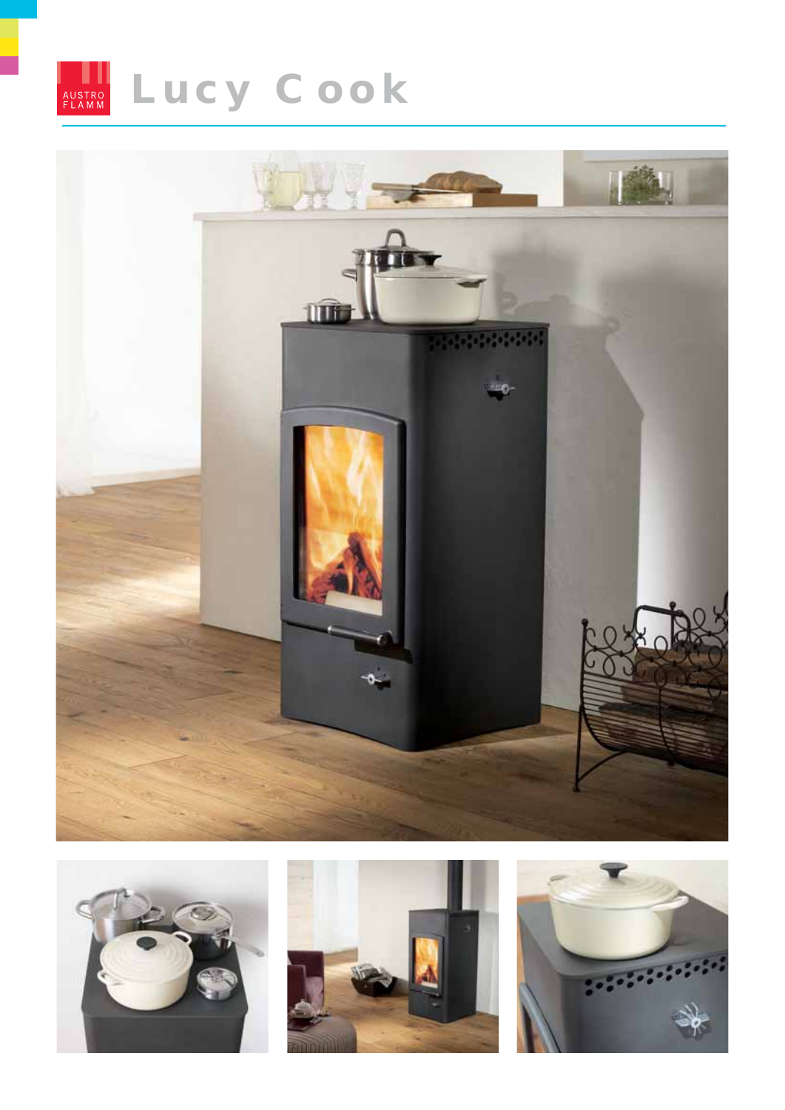